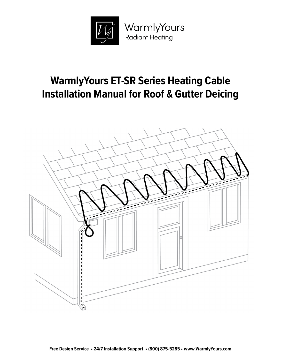

# **WarmlyYours ET-SR Series Heating Cable Installation Manual for Roof & Gutter Deicing**

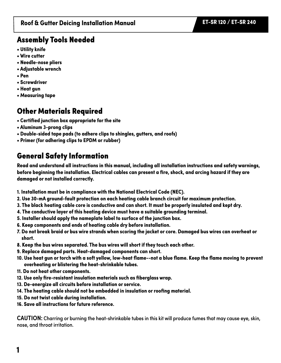### Assembly Tools Needed

- **Utility knife**
- **Wire cutter**
- **Needle-nose pliers**
- **Adjustable wrench**
- **Pen**
- **Screwdriver**
- **Heat gun**
- **Measuring tape**

## Other Materials Required

- **Certified junction box appropriate for the site**
- **Aluminum 3-prong clips**
- **Double-sided tape pads (to adhere clips to shingles, gutters, and roofs)**
- **Primer (for adhering clips to EPDM or rubber)**

# General Safety Information

**Read and understand all instructions in this manual, including all installation instructions and safety warnings, before beginning the installation. Electrical cables can present a fire, shock, and arcing hazard if they are damaged or not installed correctly.** 

- **1. Installation must be in compliance with the National Electrical Code (NEC).**
- **2. Use 30-mA ground-fault protection on each heating cable branch circuit for maximum protection.**
- **3. The black heating cable core is conductive and can short. It must be properly insulated and kept dry.**
- **4. The conductive layer of this heating device must have a suitable grounding terminal.**
- **5. Installer should apply the nameplate label to surface of the junction box.**
- **6. Keep components and ends of heating cable dry before installation.**
- **7. Do not break braid or bus wire strands when scoring the jacket or core. Damaged bus wires can overheat or short.**
- **8. Keep the bus wires separated. The bus wires will short if they touch each other.**
- **9. Replace damaged parts. Heat-damaged components can short.**
- **10. Use heat gun or torch with a soft yellow, low-heat flame--not a blue flame. Keep the flame moving to prevent overheating or blistering the heat-shrinkable tubes.**
- **11. Do not heat other components.**
- **12. Use only fire-resistant insulation materials such as fiberglass wrap.**
- **13. De-energize all circuits before installation or service.**
- **14. The heating cable should not be embedded in insulation or roofing material.**
- **15. Do not twist cable during installation.**
- **16. Save all instructions for future reference.**

**CAUTION:** Charring or burning the heat-shrinkable tubes in this kit will produce fumes that may cause eye, skin, nose, and throat irritation.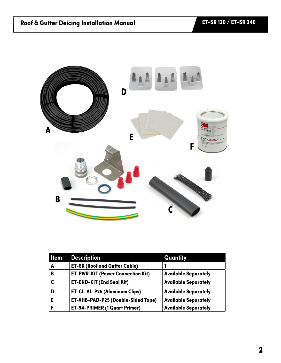

| <b>Item</b> | <b>Description</b>                        | Quantity                    |
|-------------|-------------------------------------------|-----------------------------|
| A           | <b>ET-SR (Roof and Gutter Cable)</b>      |                             |
| B           | <b>ET-PWR-KIT (Power Connection Kit)</b>  | <b>Available Separately</b> |
|             | <b>ET-END-KIT (End Seal Kit)</b>          | <b>Available Separately</b> |
|             | <b>ET-CL-AL-P25 (Aluminum Clips)</b>      | <b>Available Separately</b> |
| Е           | <b>ET-VHB-PAD-P25 (Double-Sided Tape)</b> | <b>Available Separately</b> |
|             | <b>ET-94-PRIMER (1 Quart Primer)</b>      | <b>Available Separately</b> |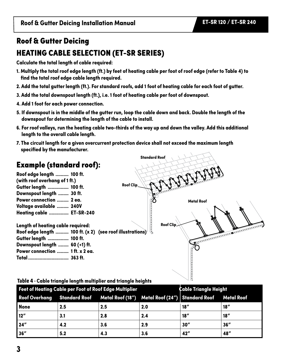**Roof & Gutter Deicing Installation Manual ET-SR 120 / ET-SR 240**

## Roof & Gutter Deicing

# HEATING CABLE SELECTION (ET-SR SERIES)

**Calculate the total length of cable required:**

- **1. Multiply the total roof edge length (ft.) by feet of heating cable per foot of roof edge (refer to Table 4) to find the total roof edge cable length required.**
- **2. Add the total gutter length (ft.). For standard roofs, add 1 foot of heating cable for each foot of gutter.**
- **3. Add the total downspout length (ft.), i.e. 1 foot of heating cable per foot of downspout.**
- **4. Add 1 foot for each power connection.**
- **5. If downspout is in the middle of the gutter run, loop the cable down and back. Double the length of the downspout for determining the length of the cable to install.**
- **6. For roof valleys, run the heating cable two-thirds of the way up and down the valley. Add this additional length to the overall cable length.**
- **7. The circuit length for a given overcurrent protection device shall not exceed the maximum length specified by the manufacturer.**

# Example (standard roof):

**Roof edge length .......... 100 ft. (with roof overhang of 1 ft.) Gutter length ................ 100 ft. Downspout length ........ 30 ft. Power connection ......... 2 ea. Voltage available ......... 240V Heating cable ............... ET-SR-240**

**Roof Clip Metal Roof Roof Clip Length of heating cable required: Roof edge length .......... 100 ft. (x 2) (see roof illustrations) Gutter length ................ 100 ft. Downspout length ........ 60 (+1) ft. Power connection ......... 1 ft. x 2 ea. Total ............................... 363 ft.**

**Standard Roof**

#### **Table 4 - Cable triangle length multiplier and triangle heights**

| <b>Feet of Heating Cable per Foot of Roof Edge Multiplier</b><br><b>Cable Triangle Height</b> |     |                                                                                        |     |      |      |
|-----------------------------------------------------------------------------------------------|-----|----------------------------------------------------------------------------------------|-----|------|------|
|                                                                                               |     | Roof Overhang Standard Roof Metal Roof (18") Metal Roof (24") Standard Roof Metal Roof |     |      |      |
| None                                                                                          | 2.5 | 2.5                                                                                    | 2.0 | 18'' | 18'' |
| 12"                                                                                           | 3.1 | 2.8                                                                                    | 2.4 | 18'' | 18'' |
| 124"                                                                                          | 4.2 | 3.6                                                                                    | 2.9 | 30'' | 36'' |
| 36"                                                                                           | 5.2 | 4.3                                                                                    | 3.6 | 42"  | 48"  |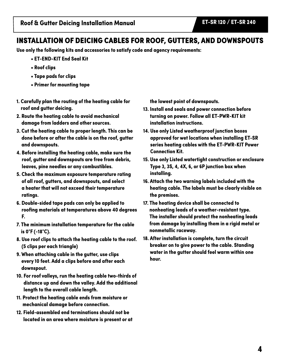### INSTALLATION OF DEICING CABLES FOR ROOF, GUTTERS, AND DOWNSPOUTS

**Use only the following kits and accessories to satisfy code and agency requirements:**

- **ET-END-KIT End Seal Kit**
- **Roof clips**
- **Tape pads for clips**
- **Primer for mounting tape**
- **1. Carefully plan the routing of the heating cable for roof and gutter deicing.**
- **2. Route the heating cable to avoid mechanical damage from ladders and other sources.**
- **3. Cut the heating cable to proper length. This can be done before or after the cable is on the roof, gutter and downspouts.**
- **4. Before installing the heating cable, make sure the roof, gutter and downspouts are free from debris, leaves, pine needles or any combustibles.**
- **5. Check the maximum exposure temperature rating of all roof, gutters, and downspouts, and select a heater that will not exceed their temperature ratings.**
- **6. Double-sided tape pads can only be applied to roofing materials at temperatures above 40 degrees F.**
- **7. The minimum installation temperature for the cable is 0°F (-18°C).**
- **8. Use roof clips to attach the heating cable to the roof. (5 clips per each triangle)**
- **9. When attaching cable in the gutter, use clips every 10 feet. Add a clips before and after each downspout.**
- **10. For roof valleys, run the heating cable two-thirds of distance up and down the valley. Add the additional length to the overall cable length.**
- **11. Protect the heating cable ends from moisture or mechanical damage before connection.**
- **12. Field-assembled end terminations should not be located in an area where moisture is present or at**

**the lowest point of downspouts.**

- **13. Install end seals and power connection before turning on power. Follow all ET-PWR-KIT kit installation instructions.**
- **14. Use only Listed weatherproof junction boxes approved for wet locations when installing ET-SR series heating cables with the ET-PWR-KIT Power Connection Kit.**
- **15. Use only Listed watertight construction or enclosure Type 3, 3S, 4, 4X, 6, or 6P junction box when installing.**
- **16. Attach the two warning labels included with the heating cable. The labels must be clearly visible on the premises.**
- **17. The heating device shall be connected to nonheating leads of a weather-resistant type. The installer should protect the nonheating leads from damage by installing them in a rigid metal or nonmetallic raceway.**
- **18. After installation is complete, turn the circuit breaker on to give power to the cable. Standing water in the gutter should feel warm within one hour.**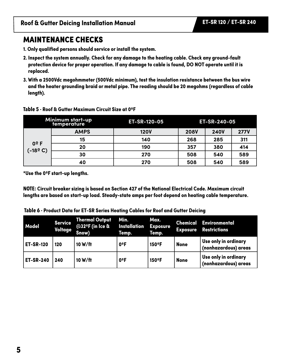### MAINTENANCE CHECKS

- **1. Only qualified persons should service or install the system.**
- **2. Inspect the system annually. Check for any damage to the heating cable. Check any ground-fault protection device for proper operation. If any damage to cable is found, DO NOT operate until it is replaced.**
- **3. With a 2500Vdc megohmmeter (500Vdc minimum), test the insulation resistance between the bus wire and the heater grounding braid or metal pipe. The reading should be 20 megohms (regardless of cable length).**

#### **Table 5 - Roof & Gutter Maximum Circuit Size at 0ºF**

| Minimum start-up<br>temperature |             | <b>ET-SR-120-05</b> | ET-SR-240-05 |             |             |
|---------------------------------|-------------|---------------------|--------------|-------------|-------------|
| $0^{\circ}$ F<br>(-18ºC)        | <b>AMPS</b> | <b>120V</b>         | <b>208V</b>  | <b>240V</b> | <b>277V</b> |
|                                 | 15          | 140                 | 268          | 285         | 311         |
|                                 | 20          | 190                 | 357          | 380         | 414         |
|                                 | 30          | 270                 | 508          | 540         | 589         |
|                                 | 40          | 270                 | 508          | 540         | 589         |

**\*Use the 0ºF start-up lengths.**

**NOTE: Circuit breaker sizing is based on Section 427 of the National Electrical Code. Maximum circuit lengths are based on start-up load. Steady-state amps per foot depend on heating cable temperature.**

| Model            | <b>Service</b><br>Voltage | <b>Thermal Output</b><br>@32ºF (in Ice &<br>Snow) | Min.<br>Installation<br>Temp. | Max.<br><b>Exposure</b><br>Temp. | <b>Exposure</b> | <b>Chemical Environmental</b><br><b>Restrictions</b> |
|------------------|---------------------------|---------------------------------------------------|-------------------------------|----------------------------------|-----------------|------------------------------------------------------|
| <b>ET-SR-120</b> | 120                       | 10 W/ft                                           | 0ºF                           | 150°F                            | <b>None</b>     | Use only in ordinary<br>(nonhazardous) areas         |
| <b>ET-SR-240</b> | 240                       | 10 W/ft                                           | 0ºF                           | 150°F                            | <b>None</b>     | Use only in ordinary<br>(nonhazardous) areas         |